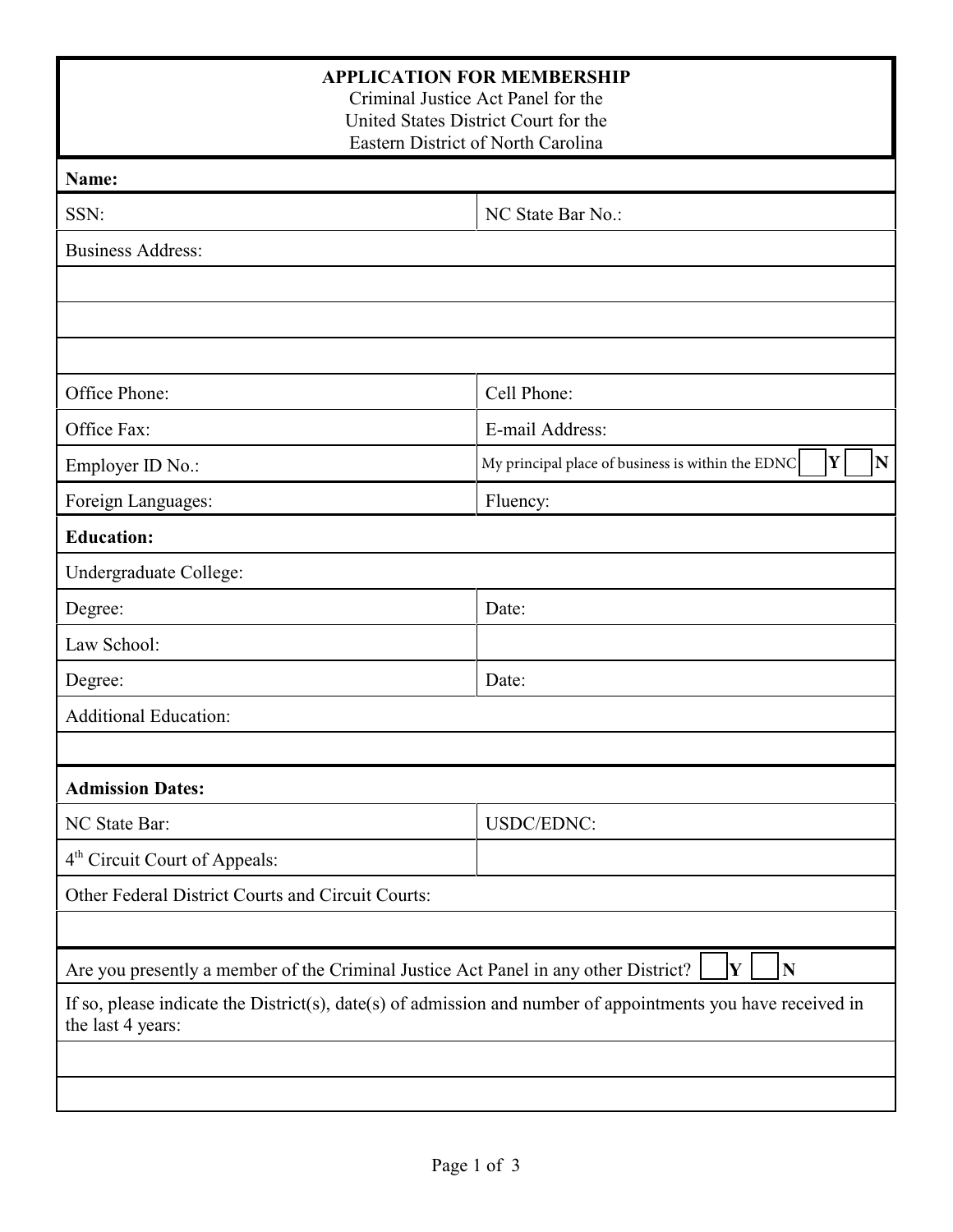| <b>APPLICATION FOR MEMBERSHIP</b><br>Criminal Justice Act Panel for the<br>United States District Court for the<br>Eastern District of North Carolina |                                                                                   |  |  |  |  |  |
|-------------------------------------------------------------------------------------------------------------------------------------------------------|-----------------------------------------------------------------------------------|--|--|--|--|--|
| Name:                                                                                                                                                 |                                                                                   |  |  |  |  |  |
| SSN:                                                                                                                                                  | NC State Bar No.:                                                                 |  |  |  |  |  |
| <b>Business Address:</b>                                                                                                                              |                                                                                   |  |  |  |  |  |
|                                                                                                                                                       |                                                                                   |  |  |  |  |  |
|                                                                                                                                                       |                                                                                   |  |  |  |  |  |
|                                                                                                                                                       |                                                                                   |  |  |  |  |  |
| Office Phone:                                                                                                                                         | Cell Phone:                                                                       |  |  |  |  |  |
| Office Fax:                                                                                                                                           | E-mail Address:                                                                   |  |  |  |  |  |
| Employer ID No.:                                                                                                                                      | Y<br>$\overline{\mathbf{N}}$<br>My principal place of business is within the EDNC |  |  |  |  |  |
| Foreign Languages:                                                                                                                                    | Fluency:                                                                          |  |  |  |  |  |
| <b>Education:</b>                                                                                                                                     |                                                                                   |  |  |  |  |  |
| Undergraduate College:                                                                                                                                |                                                                                   |  |  |  |  |  |
| Degree:                                                                                                                                               | Date:                                                                             |  |  |  |  |  |
| Law School:                                                                                                                                           |                                                                                   |  |  |  |  |  |
| Degree:                                                                                                                                               | Date:                                                                             |  |  |  |  |  |
| <b>Additional Education:</b>                                                                                                                          |                                                                                   |  |  |  |  |  |
|                                                                                                                                                       |                                                                                   |  |  |  |  |  |
| <b>Admission Dates:</b>                                                                                                                               |                                                                                   |  |  |  |  |  |
| NC State Bar:                                                                                                                                         | USDC/EDNC:                                                                        |  |  |  |  |  |
| 4 <sup>th</sup> Circuit Court of Appeals:                                                                                                             |                                                                                   |  |  |  |  |  |
| Other Federal District Courts and Circuit Courts:                                                                                                     |                                                                                   |  |  |  |  |  |
|                                                                                                                                                       |                                                                                   |  |  |  |  |  |
| Are you presently a member of the Criminal Justice Act Panel in any other District?                                                                   | $\overline{\bf N}$<br>Y                                                           |  |  |  |  |  |
| If so, please indicate the District(s), date(s) of admission and number of appointments you have received in<br>the last 4 years:                     |                                                                                   |  |  |  |  |  |
|                                                                                                                                                       |                                                                                   |  |  |  |  |  |
|                                                                                                                                                       |                                                                                   |  |  |  |  |  |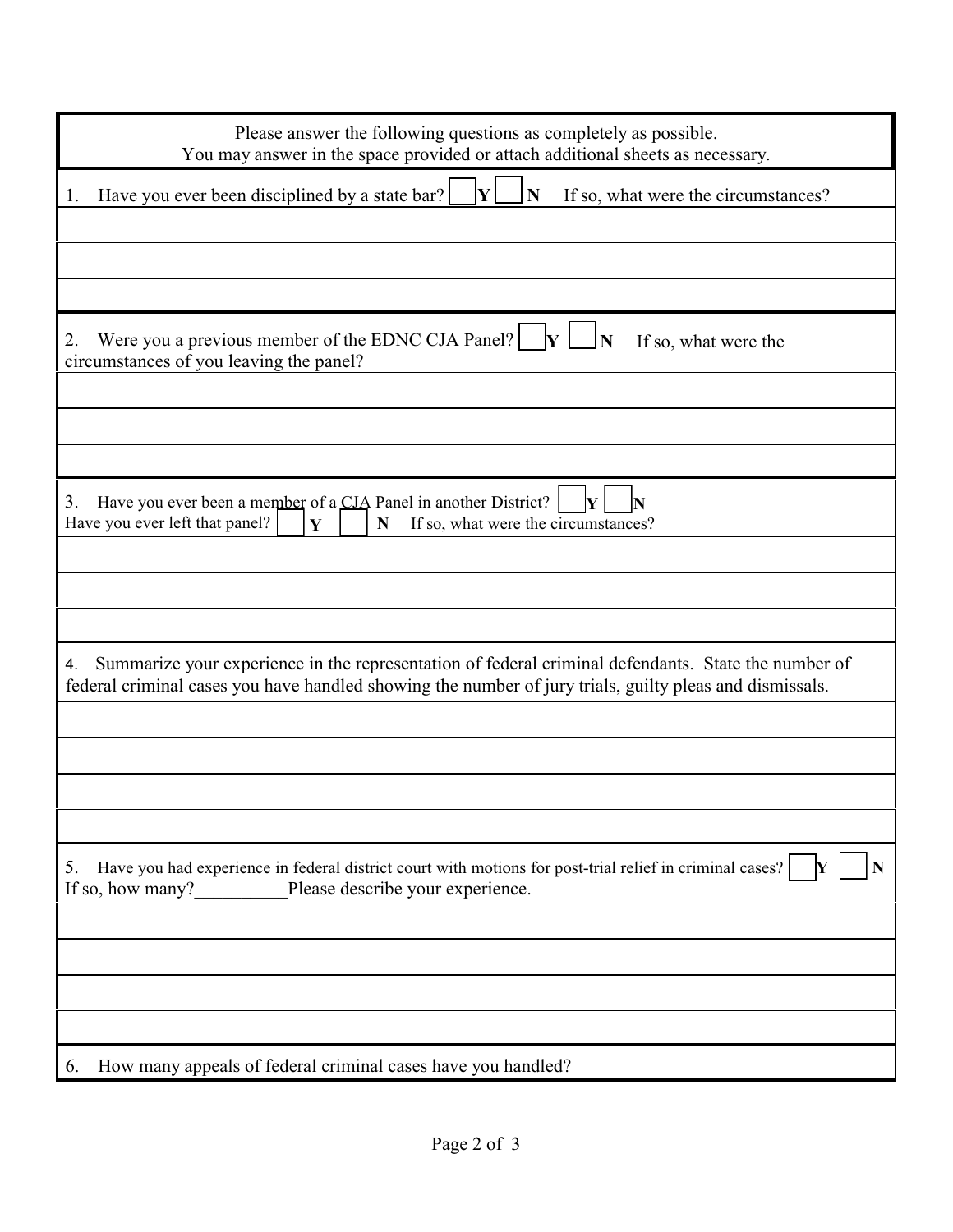| Please answer the following questions as completely as possible.<br>You may answer in the space provided or attach additional sheets as necessary.                                                                   |
|----------------------------------------------------------------------------------------------------------------------------------------------------------------------------------------------------------------------|
| Y<br>N<br>Have you ever been disciplined by a state bar?<br>If so, what were the circumstances?<br>1.                                                                                                                |
|                                                                                                                                                                                                                      |
|                                                                                                                                                                                                                      |
| Were you a previous member of the EDNC CJA Panel? $\mathbf{y}$ $\mathbf{y}$<br>2.<br>If so, what were the<br>circumstances of you leaving the panel?                                                                 |
|                                                                                                                                                                                                                      |
|                                                                                                                                                                                                                      |
|                                                                                                                                                                                                                      |
| Have you ever been a member of a CJA Panel in another District?<br>3.<br>Have you ever left that panel?<br>Y<br>$\mathbf N$<br>If so, what were the circumstances?                                                   |
|                                                                                                                                                                                                                      |
|                                                                                                                                                                                                                      |
|                                                                                                                                                                                                                      |
| Summarize your experience in the representation of federal criminal defendants. State the number of<br>4.<br>federal criminal cases you have handled showing the number of jury trials, guilty pleas and dismissals. |
|                                                                                                                                                                                                                      |
|                                                                                                                                                                                                                      |
|                                                                                                                                                                                                                      |
|                                                                                                                                                                                                                      |
| Have you had experience in federal district court with motions for post-trial relief in criminal cases?<br>5.<br>IY<br>Please describe your experience.<br>If so, how many?                                          |
|                                                                                                                                                                                                                      |
|                                                                                                                                                                                                                      |
|                                                                                                                                                                                                                      |
|                                                                                                                                                                                                                      |
| How many appeals of federal criminal cases have you handled?<br>$\mathfrak{b}$ .                                                                                                                                     |